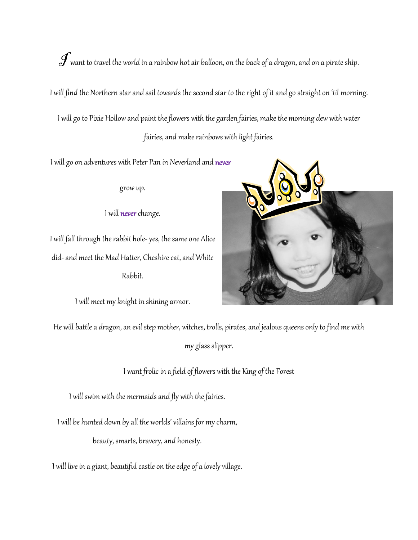$\int$  want to travel the world in a rainbow hot air balloon, on the back of a dragon, and on a pirate ship.

I will find the Northern star and sail towards the second star to the right of it and go straight on 'til morning.

I will go to Pixie Hollow and paint the flowers with the garden fairies, make the morning dew with water fairies, and make rainbows with light fairies.

I will go on adventures with Peter Pan in Neverland and never

grow up.

I will never change.

I will fall through the rabbit hole- yes, the same one Alice did-and meet the Mad Hatter, Cheshire cat, and White Rabbit.

I will meet my knight in shining armor.



He will battle a dragon, an evil step mother, witches, trolls, pirates, and jealous queens only to find me with

myglass slipper.

I want frolic in a field of flowers with the King of the Forest

I will swim with the mermaids and fly with the fairies.

I will be hunted down by all the worlds' villains for my charm,

beauty, smarts, bravery, and honesty.

I will live in a giant, beautiful castle on the edge of a lovely village.